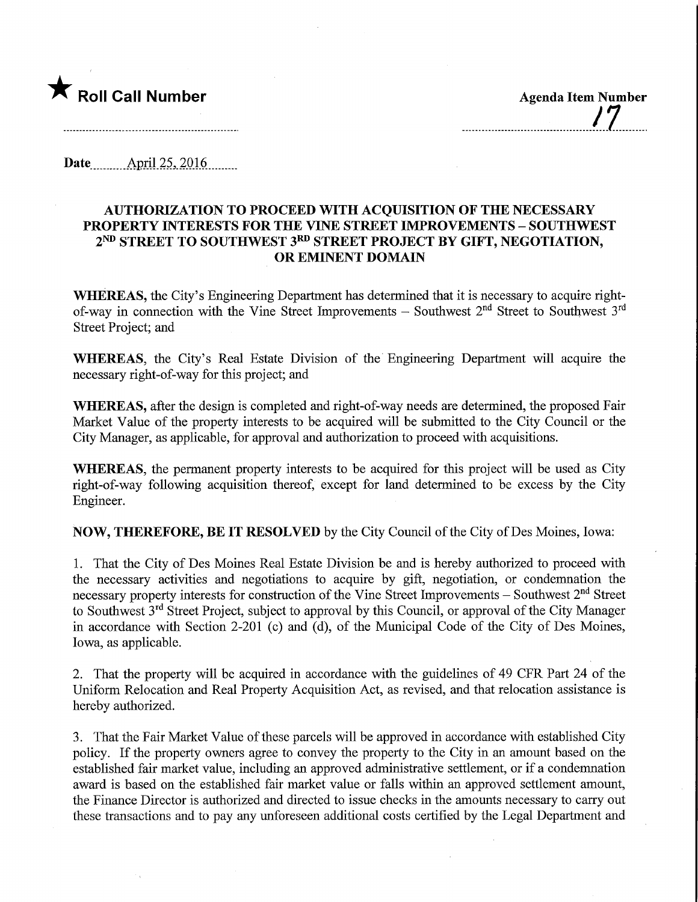

Date.....\_..AprU25,2016.

## AUTHORIZATION TO PROCEED WITH ACQUISITION OF THE NECESSARY PROPERTY INTERESTS FOR THE VINE STREET IMPROVEMENTS - SOUTHWEST 2<sup>ND</sup> STREET TO SOUTHWEST 3<sup>RD</sup> STREET PROJECT BY GIFT, NEGOTIATION, OR EMINENT DOMAIN

WHEREAS, the City's Engineering Department has determined that it is necessary to acquire rightof-way in connection with the Vine Street Improvements - Southwest 2<sup>nd</sup> Street to Southwest 3<sup>rd</sup> Street Project; and

WHEREAS, the City's Real Estate Division of the Engineering Department will acquire the necessary right-of-way for this project; and

WHEREAS, after the design is completed and right-of-way needs are determined, the proposed Fair Market Value of the property interests to be acquired will be submitted to the City Council or the City Manager, as applicable, for approval and authorization to proceed with acquisitions.

WHEREAS, the permanent property interests to be acquired for this project will be used as City right-of-way following acquisition thereof, except for land determined to be excess by the City Engineer.

NOW, THEREFORE, BE IT RESOLVED by the City Council of the City of Des Moines, Iowa:

1. That the City of Des Moines Real Estate Division be and is hereby authorized to proceed with the necessary activities and negotiations to acquire by gift, negotiation, or condemnation the necessary property interests for construction of the Vine Street Improvements  $-$  Southwest  $2<sup>nd</sup>$  Street to Southwest 3<sup>rd</sup> Street Project, subject to approval by this Council, or approval of the City Manager in accordance with Section 2-201 (c) and (d), of the Municipal Code of the City of Des Moines, Iowa, as applicable.

2. That the property will be acquired in accordance with the guidelines of 49 CFR Part 24 of the Uniform Relocation and Real Property Acquisition Act, as revised, and that relocation assistance is hereby authorized.

3. That the Fair Market Value of these parcels will be approved in accordance with established City policy. If the property owners agree to convey the property to the City in an amount based on the established fair market value, including an approved administrative settlement, or if a condemnation award is based on the established fair market value or falls within an approved settlement amount, the Finance Director is authorized and directed to issue checks in the amounts necessary to carry out these transactions and to pay any unforeseen additional costs certified by the Legal Department and